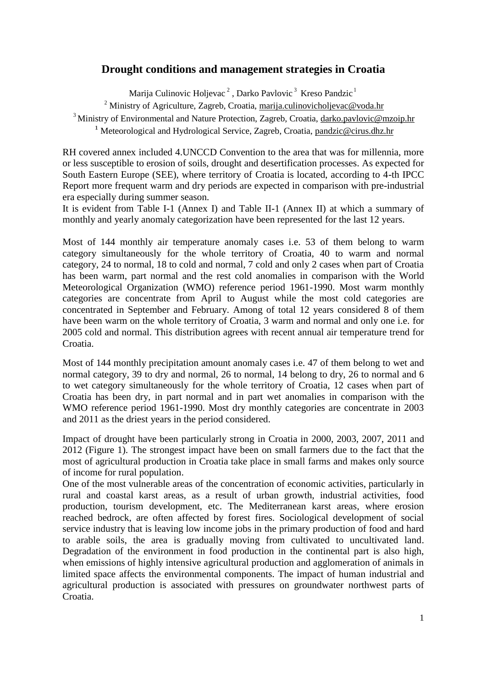## **Drought conditions and management strategies in Croatia**

Marija Culinovic Holjevac<sup>2</sup>, Darko Pavlovic<sup>3</sup> Kreso Pandzic<sup>1</sup>

<sup>2</sup> Ministry of Agriculture, Zagreb, Croatia, [marija.culinovicholjevac@voda.hr](mailto:marija.culinovicholjevac@voda.hr)

<sup>3</sup> Ministry of Environmental and Nature Protection, Zagreb, Croatia, [darko.pavlovic@mzoip.hr](mailto:darko.pavlovic@mzoip.hr)

<sup>1</sup> Meteorological and Hydrological Service, Zagreb, Croatia, [pandzic@cirus.dhz.hr](mailto:pandzic@cirus.dhz.hr)

RH covered annex included 4.UNCCD Convention to the area that was for millennia, more or less susceptible to erosion of soils, drought and desertification processes. As expected for South Eastern Europe (SEE), where territory of Croatia is located, according to 4-th IPCC Report more frequent warm and dry periods are expected in comparison with pre-industrial era especially during summer season.

It is evident from Table I-1 (Annex I) and Table II-1 (Annex II) at which a summary of monthly and yearly anomaly categorization have been represented for the last 12 years.

Most of 144 monthly air temperature anomaly cases i.e. 53 of them belong to warm category simultaneously for the whole territory of Croatia, 40 to warm and normal category, 24 to normal, 18 to cold and normal, 7 cold and only 2 cases when part of Croatia has been warm, part normal and the rest cold anomalies in comparison with the World Meteorological Organization (WMO) reference period 1961-1990. Most warm monthly categories are concentrate from April to August while the most cold categories are concentrated in September and February. Among of total 12 years considered 8 of them have been warm on the whole territory of Croatia, 3 warm and normal and only one i.e. for 2005 cold and normal. This distribution agrees with recent annual air temperature trend for Croatia.

Most of 144 monthly precipitation amount anomaly cases i.e. 47 of them belong to wet and normal category, 39 to dry and normal, 26 to normal, 14 belong to dry, 26 to normal and 6 to wet category simultaneously for the whole territory of Croatia, 12 cases when part of Croatia has been dry, in part normal and in part wet anomalies in comparison with the WMO reference period 1961-1990. Most dry monthly categories are concentrate in 2003 and 2011 as the driest years in the period considered.

Impact of drought have been particularly strong in Croatia in 2000, 2003, 2007, 2011 and 2012 (Figure 1). The strongest impact have been on small farmers due to the fact that the most of agricultural production in Croatia take place in small farms and makes only source of income for rural population.

One of the most vulnerable areas of the concentration of economic activities, particularly in rural and coastal karst areas, as a result of urban growth, industrial activities, food production, tourism development, etc. The Mediterranean karst areas, where erosion reached bedrock, are often affected by forest fires. Sociological development of social service industry that is leaving low income jobs in the primary production of food and hard to arable soils, the area is gradually moving from cultivated to uncultivated land. Degradation of the environment in food production in the continental part is also high, when emissions of highly intensive agricultural production and agglomeration of animals in limited space affects the environmental components. The impact of human industrial and agricultural production is associated with pressures on groundwater northwest parts of Croatia.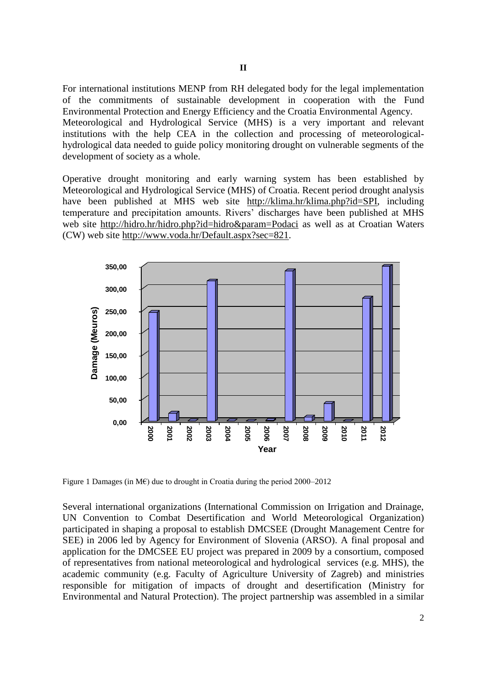For international institutions MENP from RH delegated body for the legal implementation of the commitments of sustainable development in cooperation with the Fund Environmental Protection and Energy Efficiency and the Croatia Environmental Agency. Meteorological and Hydrological Service (MHS) is a very important and relevant institutions with the help CEA in the collection and processing of meteorologicalhydrological data needed to guide policy monitoring drought on vulnerable segments of the development of society as a whole.

Operative drought monitoring and early warning system has been established by Meteorological and Hydrological Service (MHS) of Croatia. Recent period drought analysis have been published at MHS web site [http://klima.hr/klima.php?id=SPI,](http://klima.hr/klima.php?id=SPI) including temperature and precipitation amounts. Rivers' discharges have been published at MHS web site [http://hidro.hr/hidro.php?id=hidro&param=Podaci](http://hidro.hr/hidro.php?id=hidro¶m=Podaci) as well as at Croatian Waters (CW) web site [http://www.voda.hr/Default.aspx?sec=821.](http://www.voda.hr/Default.aspx?sec=821)



Figure 1 Damages (in M€) due to drought in Croatia during the period 2000–2012

Several international organizations (International Commission on Irrigation and Drainage, UN Convention to Combat Desertification and World Meteorological Organization) participated in shaping a proposal to establish DMCSEE (Drought Management Centre for SEE) in 2006 led by Agency for Environment of Slovenia (ARSO). A final proposal and application for the DMCSEE EU project was prepared in 2009 by a consortium, composed of representatives from national meteorological and hydrological services (e.g. MHS), the academic community (e.g. Faculty of Agriculture University of Zagreb) and ministries responsible for mitigation of impacts of drought and desertification (Ministry for Environmental and Natural Protection). The project partnership was assembled in a similar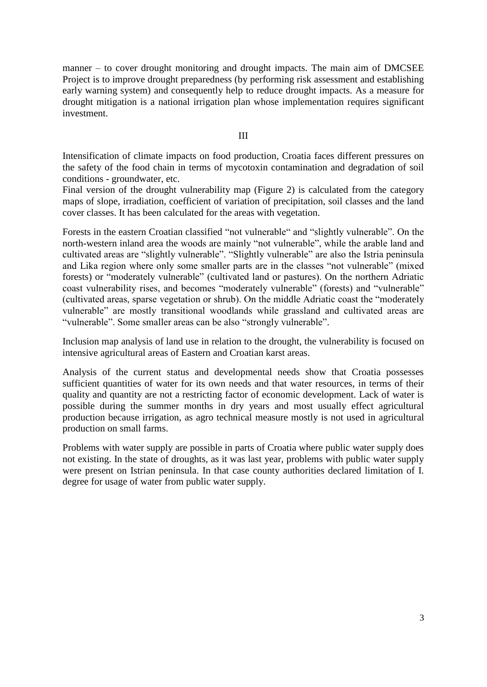manner – to cover drought monitoring and drought impacts. The main aim of DMCSEE Project is to improve drought preparedness (by performing risk assessment and establishing early warning system) and consequently help to reduce drought impacts. As a measure for drought mitigation is a national irrigation plan whose implementation requires significant investment.

III

Intensification of climate impacts on food production, Croatia faces different pressures on the safety of the food chain in terms of mycotoxin contamination and degradation of soil conditions - groundwater, etc.

Final version of the drought vulnerability map (Figure 2) is calculated from the category maps of slope, irradiation, coefficient of variation of precipitation, soil classes and the land cover classes. It has been calculated for the areas with vegetation.

Forests in the eastern Croatian classified "not vulnerable" and "slightly vulnerable". On the north-western inland area the woods are mainly "not vulnerable", while the arable land and cultivated areas are "slightly vulnerable". "Slightly vulnerable" are also the Istria peninsula and Lika region where only some smaller parts are in the classes "not vulnerable" (mixed forests) or "moderately vulnerable" (cultivated land or pastures). On the northern Adriatic coast vulnerability rises, and becomes "moderately vulnerable" (forests) and "vulnerable" (cultivated areas, sparse vegetation or shrub). On the middle Adriatic coast the "moderately vulnerable" are mostly transitional woodlands while grassland and cultivated areas are "vulnerable". Some smaller areas can be also "strongly vulnerable".

Inclusion map analysis of land use in relation to the drought, the vulnerability is focused on intensive agricultural areas of Eastern and Croatian karst areas.

Analysis of the current status and developmental needs show that Croatia possesses sufficient quantities of water for its own needs and that water resources, in terms of their quality and quantity are not a restricting factor of economic development. Lack of water is possible during the summer months in dry years and most usually effect agricultural production because irrigation, as agro technical measure mostly is not used in agricultural production on small farms.

Problems with water supply are possible in parts of Croatia where public water supply does not existing. In the state of droughts, as it was last year, problems with public water supply were present on Istrian peninsula. In that case county authorities declared limitation of I. degree for usage of water from public water supply.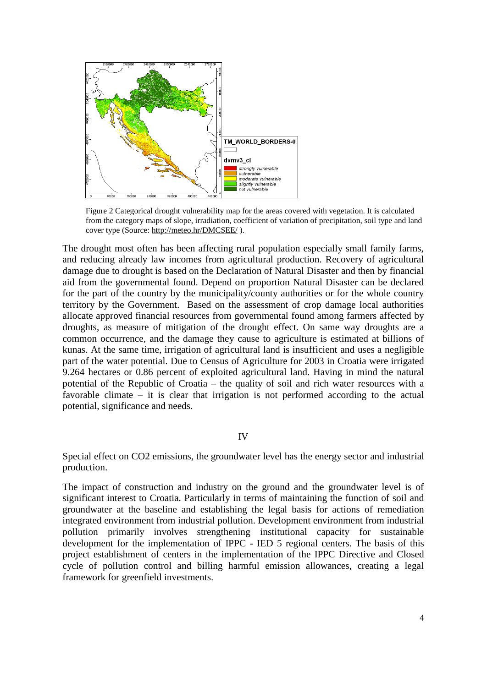

Figure 2 Categorical drought vulnerability map for the areas covered with vegetation. It is calculated from the category maps of slope, irradiation, coefficient of variation of precipitation, soil type and land cover type (Source[: http://meteo.hr/DMCSEE/](http://meteo.hr/DMCSEE/) ).

The drought most often has been affecting rural population especially small family farms, and reducing already law incomes from agricultural production. Recovery of agricultural damage due to drought is based on the Declaration of Natural Disaster and then by financial aid from the governmental found. Depend on proportion Natural Disaster can be declared for the part of the country by the municipality/county authorities or for the whole country territory by the Government. Based on the assessment of crop damage local authorities allocate approved financial resources from governmental found among farmers affected by droughts, as measure of mitigation of the drought effect. On same way droughts are a common occurrence, and the damage they cause to agriculture is estimated at billions of kunas. At the same time, irrigation of agricultural land is insufficient and uses a negligible part of the water potential. Due to Census of Agriculture for 2003 in Croatia were irrigated 9.264 hectares or 0.86 percent of exploited agricultural land. Having in mind the natural potential of the Republic of Croatia – the quality of soil and rich water resources with a favorable climate – it is clear that irrigation is not performed according to the actual potential, significance and needs.

## IV

Special effect on CO2 emissions, the groundwater level has the energy sector and industrial production.

The impact of construction and industry on the ground and the groundwater level is of significant interest to Croatia. Particularly in terms of maintaining the function of soil and groundwater at the baseline and establishing the legal basis for actions of remediation integrated environment from industrial pollution. Development environment from industrial pollution primarily involves strengthening institutional capacity for sustainable development for the implementation of IPPC - IED 5 regional centers. The basis of this project establishment of centers in the implementation of the IPPC Directive and Closed cycle of pollution control and billing harmful emission allowances, creating a legal framework for greenfield investments.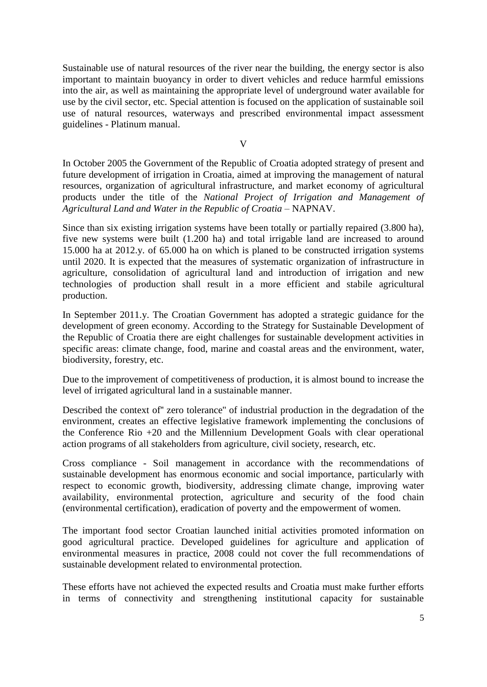Sustainable use of natural resources of the river near the building, the energy sector is also important to maintain buoyancy in order to divert vehicles and reduce harmful emissions into the air, as well as maintaining the appropriate level of underground water available for use by the civil sector, etc. Special attention is focused on the application of sustainable soil use of natural resources, waterways and prescribed environmental impact assessment guidelines - Platinum manual.

V

In October 2005 the Government of the Republic of Croatia adopted strategy of present and future development of irrigation in Croatia, aimed at improving the management of natural resources, organization of agricultural infrastructure, and market economy of agricultural products under the title of the *National Project of Irrigation and Management of Agricultural Land and Water in the Republic of Croatia* – NAPNAV.

Since than six existing irrigation systems have been totally or partially repaired (3.800 ha), five new systems were built (1.200 ha) and total irrigable land are increased to around 15.000 ha at 2012.y. of 65.000 ha on which is planed to be constructed irrigation systems until 2020. It is expected that the measures of systematic organization of infrastructure in agriculture, consolidation of agricultural land and introduction of irrigation and new technologies of production shall result in a more efficient and stabile agricultural production.

In September 2011.y. The Croatian Government has adopted a strategic guidance for the development of green economy. According to the Strategy for Sustainable Development of the Republic of Croatia there are eight challenges for sustainable development activities in specific areas: climate change, food, marine and coastal areas and the environment, water, biodiversity, forestry, etc.

Due to the improvement of competitiveness of production, it is almost bound to increase the level of irrigated agricultural land in a sustainable manner.

Described the context of'' zero tolerance'' of industrial production in the degradation of the environment, creates an effective legislative framework implementing the conclusions of the Conference Rio +20 and the Millennium Development Goals with clear operational action programs of all stakeholders from agriculture, civil society, research, etc.

Cross compliance - Soil management in accordance with the recommendations of sustainable development has enormous economic and social importance, particularly with respect to economic growth, biodiversity, addressing climate change, improving water availability, environmental protection, agriculture and security of the food chain (environmental certification), eradication of poverty and the empowerment of women.

The important food sector Croatian launched initial activities promoted information on good agricultural practice. Developed guidelines for agriculture and application of environmental measures in practice, 2008 could not cover the full recommendations of sustainable development related to environmental protection.

These efforts have not achieved the expected results and Croatia must make further efforts in terms of connectivity and strengthening institutional capacity for sustainable